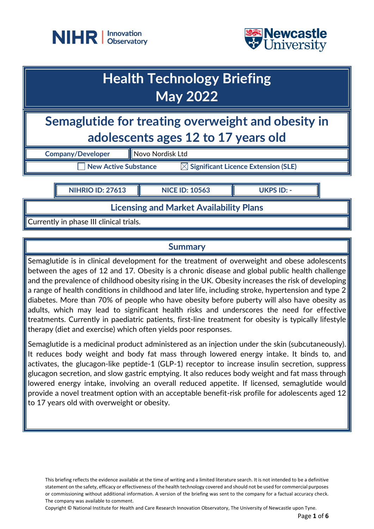



# **Health Technology Briefing May 2022**

**Semaglutide for treating overweight and obesity in adolescents ages 12 to 17 years old**

**Company/Developer** Novo Nordisk Ltd

 $\overline{\phantom{x}}$  New Active Substance  $\overline{\phantom{x}}$  Significant Licence Extension (SLE)

**NIHRIO ID: 27613 NICE ID: 10563 UKPS ID: -**

**Licensing and Market Availability Plans**

Currently in phase III clinical trials.

## **Summary**

Semaglutide is in clinical development for the treatment of overweight and obese adolescents between the ages of 12 and 17. Obesity is a chronic disease and global public health challenge and the prevalence of childhood obesity rising in the UK. Obesity increases the risk of developing a range of health conditions in childhood and later life, including stroke, hypertension and type 2 diabetes. More than 70% of people who have obesity before puberty will also have obesity as adults, which may lead to significant health risks and underscores the need for effective treatments. Currently in paediatric patients, first-line treatment for obesity is typically lifestyle therapy (diet and exercise) which often yields poor responses.

Semaglutide is a medicinal product administered as an injection under the skin (subcutaneously). It reduces body weight and body fat mass through lowered energy intake. It binds to, and activates, the glucagon-like peptide-1 (GLP-1) receptor to increase insulin secretion, suppress glucagon secretion, and slow gastric emptying. It also reduces body weight and fat mass through lowered energy intake, involving an overall reduced appetite. If licensed, semaglutide would provide a novel treatment option with an acceptable benefit-risk profile for adolescents aged 12 to 17 years old with overweight or obesity.

This briefing reflects the evidence available at the time of writing and a limited literature search. It is not intended to be a definitive statement on the safety, efficacy or effectiveness of the health technology covered and should not be used for commercial purposes or commissioning without additional information. A version of the briefing was sent to the company for a factual accuracy check. The company was available to comment.

Copyright © National Institute for Health and Care Research Innovation Observatory, The University of Newcastle upon Tyne.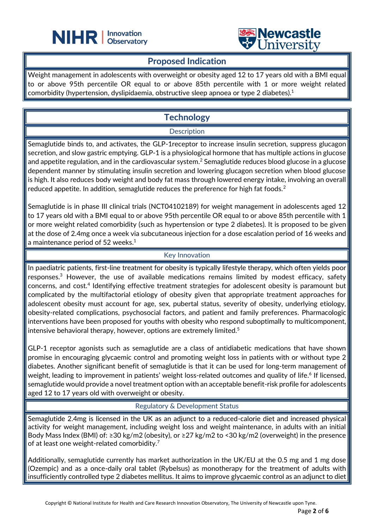



### **Proposed Indication**

֦

Weight management in adolescents with overweight or obesity aged 12 to 17 years old with a BMI equal to or above 95th percentile OR equal to or above 85th percentile with 1 or more weight related comorbidity (hypertension, dyslipidaemia, obstructive sleep apnoea or type 2 diabetes). 1

# **Technology**

#### **Description**

Semaglutide binds to, and activates, the GLP-1receptor to increase insulin secretion, suppress glucagon secretion, and slow gastric emptying. GLP-1 is a physiological hormone that has multiple actions in glucose and appetite regulation, and in the cardiovascular system. $^2$  Semaglutide reduces blood glucose in a glucose dependent manner by stimulating insulin secretion and lowering glucagon secretion when blood glucose is high. It also reduces body weight and body fat mass through lowered energy intake, involving an overall reduced appetite. In addition, semaglutide reduces the preference for high fat foods.<sup>2</sup>

Semaglutide is in phase III clinical trials (NCT04102189) for weight management in adolescents aged 12 to 17 years old with a BMI equal to or above 95th percentile OR equal to or above 85th percentile with 1 or more weight related comorbidity (such as hypertension or type 2 diabetes). It is proposed to be given at the dose of 2.4mg once a week via subcutaneous injection for a dose escalation period of 16 weeks and a maintenance period of 52 weeks. $^{\rm 1}$ 

#### Key Innovation

In paediatric patients, first-line treatment for obesity is typically lifestyle therapy, which often yields poor responses. $^3$  However, the use of available medications remains limited by modest efficacy, safety concerns, and cost.<sup>4</sup> Identifying effective treatment strategies for adolescent obesity is paramount but complicated by the multifactorial etiology of obesity given that appropriate treatment approaches for adolescent obesity must account for age, sex, pubertal status, severity of obesity, underlying etiology, obesity-related complications, psychosocial factors, and patient and family preferences. Pharmacologic interventions have been proposed for youths with obesity who respond suboptimally to multicomponent, intensive behavioral therapy, however, options are extremely limited.<sup>5</sup>

GLP-1 receptor agonists such as semaglutide are a class of antidiabetic medications that have shown promise in encouraging glycaemic control and promoting weight loss in patients with or without type 2 diabetes. Another significant benefit of semaglutide is that it can be used for long-term management of weight, leading to improvement in patients' weight loss-related outcomes and quality of life.<sup>6</sup> If licensed, semaglutide would provide a novel treatment option with an acceptable benefit-risk profile for adolescents aged 12 to 17 years old with overweight or obesity.

#### Regulatory & Development Status

Semaglutide 2.4mg is licensed in the UK as an adjunct to a reduced-calorie diet and increased physical activity for weight management, including weight loss and weight maintenance, in adults with an initial Body Mass Index (BMI) of: ≥30 kg/m2 (obesity), or ≥27 kg/m2 to <30 kg/m2 (overweight) in the presence of at least one weight-related comorbidity.<sup>7</sup>

Additionally, semaglutide currently has market authorization in the UK/EU at the 0.5 mg and 1 mg dose (Ozempic) and as a once-daily oral tablet (Rybelsus) as monotherapy for the treatment of adults with insufficiently controlled type 2 diabetes mellitus. It aims to improve glycaemic control as an adjunct to diet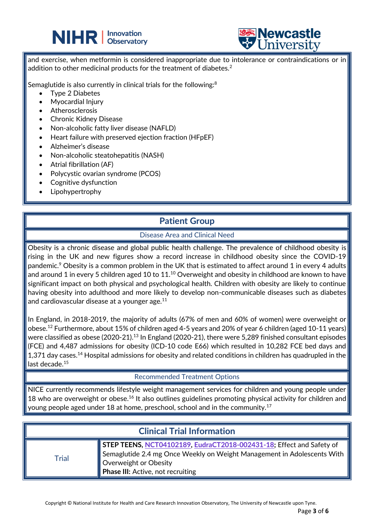



and exercise, when metformin is considered inappropriate due to intolerance or contraindications or in addition to other medicinal products for the treatment of diabetes.<sup>2</sup>

֦

Semaglutide is also currently in clinical trials for the following:<sup>8</sup>

- Type 2 Diabetes
- Myocardial Injury
- **Atherosclerosis**
- Chronic Kidney Disease
- Non-alcoholic fatty liver disease (NAFLD)
- Heart failure with preserved ejection fraction (HFpEF)
- Alzheimer's disease
- Non-alcoholic steatohepatitis (NASH)
- Atrial fibrillation (AF)
- Polycystic ovarian syndrome (PCOS)
- Cognitive dysfunction
- **Lipohypertrophy**

## **Patient Group**

#### Disease Area and Clinical Need

Obesity is a chronic disease and global public health challenge. The prevalence of childhood obesity is rising in the UK and new figures show a record increase in childhood obesity since the COVID-19 pandemic.<sup>9</sup> Obesity is a common problem in the UK that is estimated to affect around 1 in every 4 adults and around 1 in every 5 children aged 10 to 11.<sup>10</sup> Overweight and obesity in childhood are known to have significant impact on both physical and psychological health. Children with obesity are likely to continue having obesity into adulthood and more likely to develop non-communicable diseases such as diabetes and cardiovascular disease at a younger age.<sup>11</sup>

In England, in 2018-2019, the majority of adults (67% of men and 60% of women) were overweight or obese. $^{12}$  Furthermore, about 15% of children aged 4-5 years and 20% of year 6 children (aged 10-11 years) were classified as obese (2020-21).<sup>13</sup> In England (2020-21), there were 5,289 finished consultant episodes (FCE) and 4,487 admissions for obesity (ICD-10 code E66) which resulted in 10,282 FCE bed days and 1,371 day cases.<sup>14</sup> Hospital admissions for obesity and related conditions in children has quadrupled in the last decade.<sup>15</sup>

#### Recommended Treatment Options

NICE currently recommends lifestyle weight management services for children and young people under 18 who are overweight or obese.<sup>16</sup> It also outlines guidelines promoting physical activity for children and young people aged under 18 at home, preschool, school and in the community.<sup>17</sup>

| <b>Clinical Trial Information</b> |                                                                                                                                                                                                                       |
|-----------------------------------|-----------------------------------------------------------------------------------------------------------------------------------------------------------------------------------------------------------------------|
| Trial                             | STEP TEENS, NCT04102189, EudraCT2018-002431-18; Effect and Safety of<br>Semaglutide 2.4 mg Once Weekly on Weight Management in Adolescents With $\Vert$<br>Overweight or Obesity<br>Phase III: Active, not recruiting |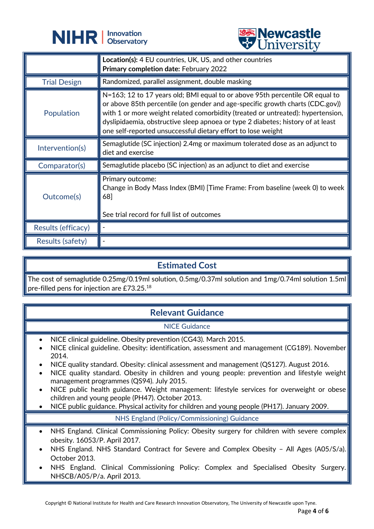



|                     | <b>OTHACLOTA</b>                                                                                                                                                                                                                                                                                                                                                                                    |
|---------------------|-----------------------------------------------------------------------------------------------------------------------------------------------------------------------------------------------------------------------------------------------------------------------------------------------------------------------------------------------------------------------------------------------------|
|                     | <b>Location(s):</b> 4 EU countries, UK, US, and other countries<br>Primary completion date: February 2022                                                                                                                                                                                                                                                                                           |
| <b>Trial Design</b> | Randomized, parallel assignment, double masking                                                                                                                                                                                                                                                                                                                                                     |
| Population          | N=163; 12 to 17 years old; BMI equal to or above 95th percentile OR equal to<br>or above 85th percentile (on gender and age-specific growth charts (CDC.gov))<br>with 1 or more weight related comorbidity (treated or untreated): hypertension,<br>dyslipidaemia, obstructive sleep apnoea or type 2 diabetes; history of at least<br>one self-reported unsuccessful dietary effort to lose weight |
| Intervention(s)     | Semaglutide (SC injection) 2.4mg or maximum tolerated dose as an adjunct to<br>diet and exercise                                                                                                                                                                                                                                                                                                    |
| Comparator(s)       | Semaglutide placebo (SC injection) as an adjunct to diet and exercise                                                                                                                                                                                                                                                                                                                               |
| Outcome(s)          | Primary outcome:<br>Change in Body Mass Index (BMI) [Time Frame: From baseline (week 0) to week<br>68]<br>See trial record for full list of outcomes                                                                                                                                                                                                                                                |
| Results (efficacy)  |                                                                                                                                                                                                                                                                                                                                                                                                     |
| Results (safety)    |                                                                                                                                                                                                                                                                                                                                                                                                     |

# **Estimated Cost**

The cost of semaglutide 0.25mg/0.19ml solution, 0.5mg/0.37ml solution and 1mg/0.74ml solution 1.5ml pre-filled pens for injection are £73.25. $^{\rm 18}$ 

# **Relevant Guidance**

#### NICE Guidance

- NICE clinical guideline. Obesity prevention (CG43). March 2015.
- NICE clinical guideline. Obesity: identification, assessment and management (CG189). November 2014.
- NICE quality standard. Obesity: clinical assessment and management (QS127). August 2016.
- NICE quality standard. Obesity in children and young people: prevention and lifestyle weight management programmes (QS94). July 2015.
- NICE public health guidance. Weight management: lifestyle services for overweight or obese children and young people (PH47). October 2013.
- NICE public guidance. Physical activity for children and young people (PH17). January 2009.

#### NHS England (Policy/Commissioning) Guidance

- NHS England. Clinical Commissioning Policy: Obesity surgery for children with severe complex obesity. 16053/P. April 2017.
- NHS England. NHS Standard Contract for Severe and Complex Obesity All Ages (A05/S/a). October 2013.
- NHS England. Clinical Commissioning Policy: Complex and Specialised Obesity Surgery. NHSCB/A05/P/a. April 2013.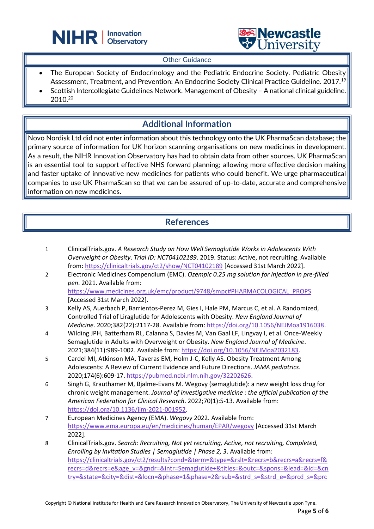



#### Other Guidance

֦

- The European Society of Endocrinology and the Pediatric Endocrine Society. Pediatric Obesity Assessment, Treatment, and Prevention: An Endocrine Society Clinical Practice Guideline. 2017.<sup>19</sup>
- Scottish Intercollegiate Guidelines Network. Management of Obesity A national clinical guideline. 2010.<sup>20</sup>

# **Additional Information**

Novo Nordisk Ltd did not enter information about this technology onto the UK PharmaScan database; the primary source of information for UK horizon scanning organisations on new medicines in development. As a result, the NIHR Innovation Observatory has had to obtain data from other sources. UK PharmaScan is an essential tool to support effective NHS forward planning; allowing more effective decision making and faster uptake of innovative new medicines for patients who could benefit. We urge pharmaceutical companies to use UK PharmaScan so that we can be assured of up-to-date, accurate and comprehensive information on new medicines.

## **References**

- 1 ClinicalTrials.gov. *A Research Study on How Well Semaglutide Works in Adolescents With Overweight or Obesity*. *Trial ID: NCT04102189*. 2019. Status: Active, not recruiting. Available from:<https://clinicaltrials.gov/ct2/show/NCT04102189> [Accessed 31st March 2022].
- 2 Electronic Medicines Compendium (EMC). *Ozempic 0.25 mg solution for injection in pre-filled pen*. 2021. Available from: [https://www.medicines.org.uk/emc/product/9748/smpc#PHARMACOLOGICAL\\_PROPS](https://www.medicines.org.uk/emc/product/9748/smpc#PHARMACOLOGICAL_PROPS) [Accessed 31st March 2022].
- 3 Kelly AS, Auerbach P, Barrientos-Perez M, Gies I, Hale PM, Marcus C, et al. A Randomized, Controlled Trial of Liraglutide for Adolescents with Obesity. *New England Journal of Medicine*. 2020;382(22):2117-28. Available from: [https://doi.org/10.1056/NEJMoa1916038.](https://doi.org/10.1056/NEJMoa1916038)
- 4 Wilding JPH, Batterham RL, Calanna S, Davies M, Van Gaal LF, Lingvay I, et al. Once-Weekly Semaglutide in Adults with Overweight or Obesity. *New England Journal of Medicine*. 2021;384(11):989-1002. Available from: [https://doi.org/10.1056/NEJMoa2032183.](https://doi.org/10.1056/NEJMoa2032183)
- 5 Cardel MI, Atkinson MA, Taveras EM, Holm J-C, Kelly AS. Obesity Treatment Among Adolescents: A Review of Current Evidence and Future Directions. *JAMA pediatrics*. 2020;174(6):609-17[. https://pubmed.ncbi.nlm.nih.gov/32202626.](https://pubmed.ncbi.nlm.nih.gov/32202626)
- 6 Singh G, Krauthamer M, Bjalme-Evans M. Wegovy (semaglutide): a new weight loss drug for chronic weight management. *Journal of investigative medicine : the official publication of the American Federation for Clinical Research*. 2022;70(1):5-13. Available from: [https://doi.org/10.1136/jim-2021-001952.](https://doi.org/10.1136/jim-2021-001952)
- 7 European Medicines Agency (EMA). *Wegovy* 2022. Available from: <https://www.ema.europa.eu/en/medicines/human/EPAR/wegovy> [Accessed 31st March 2022].
- 8 ClinicalTrials.gov. *Search: Recruiting, Not yet recruiting, Active, not recruiting, Completed, Enrolling by invitation Studies | Semaglutide | Phase 2, 3*. Available from: [https://clinicaltrials.gov/ct2/results?cond=&term=&type=&rslt=&recrs=b&recrs=a&recrs=f&](https://clinicaltrials.gov/ct2/results?cond=&term=&type=&rslt=&recrs=b&recrs=a&recrs=f&recrs=d&recrs=e&age_v=&gndr=&intr=Semaglutide+&titles=&outc=&spons=&lead=&id=&cntry=&state=&city=&dist=&locn=&phase=1&phase=2&rsub=&strd_s=&strd_e=&prcd_s=&prcd_e=&sfpd_s=&sfpd_e=&rfpd_s=&rfpd_e=&lupd_s=&lupd_e=&sort) [recrs=d&recrs=e&age\\_v=&gndr=&intr=Semaglutide+&titles=&outc=&spons=&lead=&id=&cn](https://clinicaltrials.gov/ct2/results?cond=&term=&type=&rslt=&recrs=b&recrs=a&recrs=f&recrs=d&recrs=e&age_v=&gndr=&intr=Semaglutide+&titles=&outc=&spons=&lead=&id=&cntry=&state=&city=&dist=&locn=&phase=1&phase=2&rsub=&strd_s=&strd_e=&prcd_s=&prcd_e=&sfpd_s=&sfpd_e=&rfpd_s=&rfpd_e=&lupd_s=&lupd_e=&sort) [try=&state=&city=&dist=&locn=&phase=1&phase=2&rsub=&strd\\_s=&strd\\_e=&prcd\\_s=&prc](https://clinicaltrials.gov/ct2/results?cond=&term=&type=&rslt=&recrs=b&recrs=a&recrs=f&recrs=d&recrs=e&age_v=&gndr=&intr=Semaglutide+&titles=&outc=&spons=&lead=&id=&cntry=&state=&city=&dist=&locn=&phase=1&phase=2&rsub=&strd_s=&strd_e=&prcd_s=&prcd_e=&sfpd_s=&sfpd_e=&rfpd_s=&rfpd_e=&lupd_s=&lupd_e=&sort)